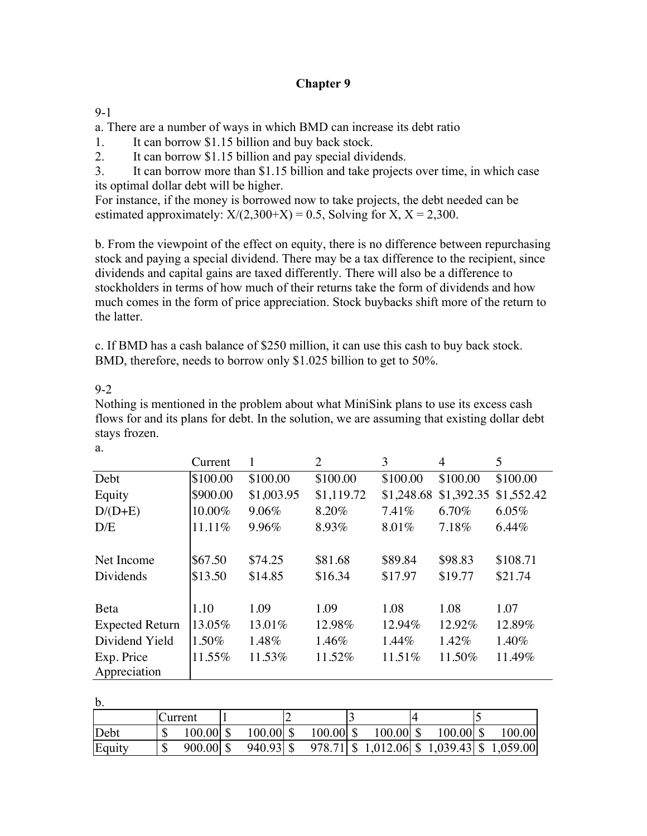# **Chapter 9**

### 9-1

a. There are a number of ways in which BMD can increase its debt ratio

1. It can borrow \$1.15 billion and buy back stock.

2. It can borrow \$1.15 billion and pay special dividends.

3. It can borrow more than \$1.15 billion and take projects over time, in which case its optimal dollar debt will be higher.

For instance, if the money is borrowed now to take projects, the debt needed can be estimated approximately:  $X/(2,300+X) = 0.5$ , Solving for X,  $X = 2,300$ .

b. From the viewpoint of the effect on equity, there is no difference between repurchasing stock and paying a special dividend. There may be a tax difference to the recipient, since dividends and capital gains are taxed differently. There will also be a difference to stockholders in terms of how much of their returns take the form of dividends and how much comes in the form of price appreciation. Stock buybacks shift more of the return to the latter.

c. If BMD has a cash balance of \$250 million, it can use this cash to buy back stock. BMD, therefore, needs to borrow only \$1.025 billion to get to 50%.

### 9-2

a.

Nothing is mentioned in the problem about what MiniSink plans to use its excess cash flows for and its plans for debt. In the solution, we are assuming that existing dollar debt stays frozen.

|                        | Current  |            | 2          | 3          | 4          | 5          |
|------------------------|----------|------------|------------|------------|------------|------------|
| Debt                   | \$100.00 | \$100.00   | \$100.00   | \$100.00   | \$100.00   | \$100.00   |
| Equity                 | \$900.00 | \$1,003.95 | \$1,119.72 | \$1,248.68 | \$1,392.35 | \$1,552.42 |
| $D/(D+E)$              | 10.00%   | 9.06%      | 8.20%      | 7.41%      | 6.70%      | 6.05%      |
| D/E                    | 11.11%   | 9.96%      | 8.93%      | 8.01%      | 7.18%      | 6.44%      |
|                        |          |            |            |            |            |            |
| Net Income             | \$67.50  | \$74.25    | \$81.68    | \$89.84    | \$98.83    | \$108.71   |
| Dividends              | \$13.50  | \$14.85    | \$16.34    | \$17.97    | \$19.77    | \$21.74    |
|                        |          |            |            |            |            |            |
| Beta                   | 1.10     | 1.09       | 1.09       | 1.08       | 1.08       | 1.07       |
| <b>Expected Return</b> | 13.05%   | 13.01%     | 12.98%     | 12.94%     | 12.92%     | 12.89%     |
| Dividend Yield         | 1.50%    | 1.48%      | 1.46%      | $1.44\%$   | 1.42%      | 1.40%      |
| Exp. Price             | 11.55%   | 11.53%     | 11.52%     | 11.51%     | 11.50%     | 11.49%     |
| Appreciation           |          |            |            |            |            |            |

b.

| $\sim$ . |             |             |             |             |             |                                                   |
|----------|-------------|-------------|-------------|-------------|-------------|---------------------------------------------------|
|          | Current     |             |             |             |             |                                                   |
| Debt     | $100.00$ \$ | $100.00$ \$ | $100.00$ \$ | $100.00$ \$ | $100.00$ \$ | 100.00                                            |
| Equity   | $900.00$ \$ | $940.93$ \$ |             |             |             | $978.71 \mid$ \$ 1,012.06 \$ 1,039.43 \$ 1,059.00 |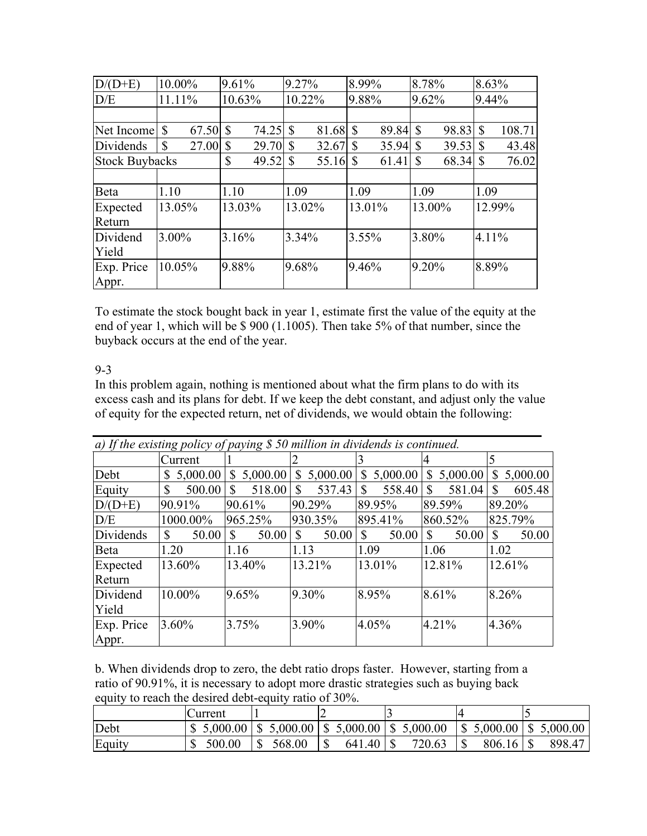| $D/(D+E)$             | 10.00%                   | 9.61%                  | 9.27%                      | 8.99%                     | 8.78%  | 8.63%                  |
|-----------------------|--------------------------|------------------------|----------------------------|---------------------------|--------|------------------------|
| D/E                   | 11.11%                   | 10.63%                 | 10.22%                     | 9.88%                     | 9.62%  | 9.44%                  |
|                       |                          |                        |                            |                           |        |                        |
| Net Income            | $\mathbb{S}$<br>67.50 \$ | 74.25                  | $\mathbb{S}$<br>81.68      | $\mathcal{S}$<br>89.84 \$ | 98.83  | $\mathbb{S}$<br>108.71 |
| Dividends             | \$<br>$27.00$ \$         | 29.70                  | \$<br>32.67                | $35.94$ \$<br>S           | 39.53  | 43.48<br>S             |
| <b>Stock Buybacks</b> |                          | $\mathcal{S}$<br>49.52 | $\mathbb{S}$<br>$55.16$ \$ |                           | 68.34  | 76.02<br>S             |
|                       |                          |                        |                            |                           |        |                        |
| Beta                  | 1.10                     | 1.10                   | 1.09                       | 1.09                      | 1.09   | 1.09                   |
| Expected              | 13.05%                   | 13.03%                 | 13.02%                     | 13.01%                    | 13.00% | 12.99%                 |
| Return                |                          |                        |                            |                           |        |                        |
| Dividend              | 3.00%                    | 3.16%                  | 3.34%                      | 3.55%                     | 3.80%  | 4.11%                  |
| Yield                 |                          |                        |                            |                           |        |                        |
| Exp. Price            | 10.05%                   | 9.88%                  | 9.68%                      | 9.46%                     | 9.20%  | 8.89%                  |
| Appr.                 |                          |                        |                            |                           |        |                        |

To estimate the stock bought back in year 1, estimate first the value of the equity at the end of year 1, which will be \$900 (1.1005). Then take 5% of that number, since the buyback occurs at the end of the year.

### 9-3

In this problem again, nothing is mentioned about what the firm plans to do with its excess cash and its plans for debt. If we keep the debt constant, and adjust only the value of equity for the expected return, net of dividends, we would obtain the following:

| a) If the existing policy of paying \$ 50 million in dividends is continued. |                               |                          |                |                            |                        |                        |
|------------------------------------------------------------------------------|-------------------------------|--------------------------|----------------|----------------------------|------------------------|------------------------|
|                                                                              | Current                       |                          |                |                            |                        | 5                      |
| Debt                                                                         | 5,000.00<br>$\mathbb{S}^-$    | 5,000.00<br><sup>S</sup> | 5,000.00<br>\$ | 5,000.00<br>$\mathbb{S}^-$ | 5,000.00<br>\$         | 5,000.00<br>\$         |
| Equity                                                                       | $500.00$   \$<br>$\mathbb{S}$ | 518.00                   | 537.43<br>\$   | 558.40<br>\$.              | 581.04<br>$\mathbb{S}$ | 605.48<br>$\mathbb{S}$ |
| $D/(D+E)$                                                                    | 90.91%                        | 90.61%                   | 90.29%         | 89.95%                     | 89.59%                 | 89.20%                 |
| D/E                                                                          | 1000.00%                      | 965.25%                  | 930.35%        | 895.41%                    | 860.52%                | 825.79%                |
| Dividends                                                                    | $\mathbb{S}$<br>50.00         | $\mathcal{S}$<br>50.00   | \$<br>50.00    | $\mathcal{S}$<br>50.00     | $\mathbf S$<br>50.00   | $\mathbb{S}$<br>50.00  |
| Beta                                                                         | 1.20                          | 1.16                     | 1.13           | 1.09                       | 1.06                   | 1.02                   |
| Expected<br>Return                                                           | 13.60%                        | 13.40%                   | 13.21%         | 13.01%                     | 12.81%                 | 12.61%                 |
| Dividend<br>Yield                                                            | 10.00%                        | 9.65%                    | 9.30%          | 8.95%                      | 8.61%                  | 8.26%                  |
| Exp. Price<br>Appr.                                                          | 3.60%                         | 3.75%                    | 3.90%          | 4.05%                      | 4.21%                  | 4.36%                  |

b. When dividends drop to zero, the debt ratio drops faster. However, starting from a ratio of 90.91%, it is necessary to adopt more drastic strategies such as buying back equity to reach the desired debt-equity ratio of 30%.

|        | <b>Current</b> |        |        |                                                                   |                                         |        |
|--------|----------------|--------|--------|-------------------------------------------------------------------|-----------------------------------------|--------|
| Debt   |                |        |        | $$5,000.00 \;   \; $5,000.00 \;   \; $5,000.00 \;   \; $5,000.00$ | $\vert 5,000.00 \vert 5,5,000.00 \vert$ |        |
| Equity | 500.00         | 568.00 | 641.40 | 720.63                                                            | $806.16$   \$                           | 898.47 |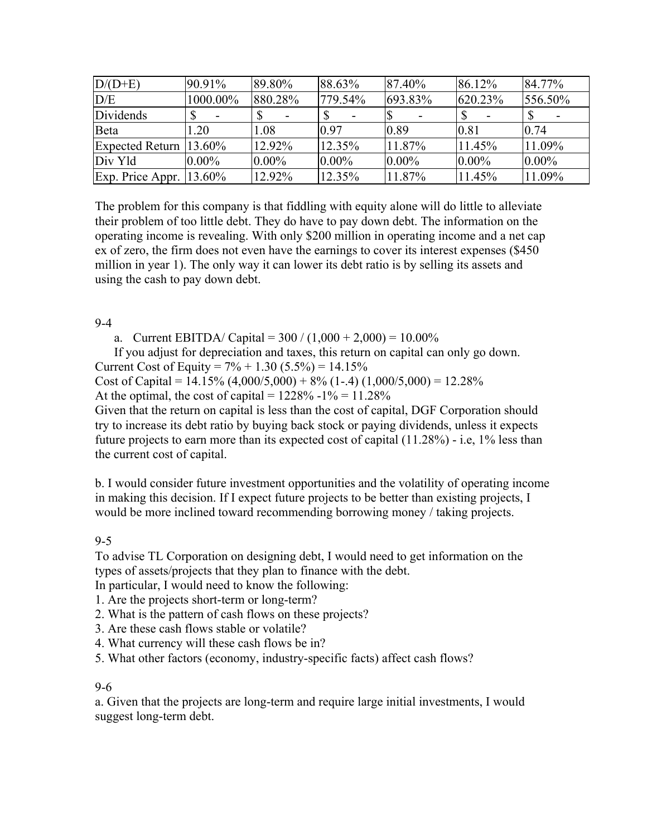| $D/(D+E)$                   | 90.91%   | 89.80%   | 88.63%   | 87.40%   | 86.12%   | 84.77%   |
|-----------------------------|----------|----------|----------|----------|----------|----------|
| D/E                         | 1000.00% | 880.28%  | 779.54%  | 693.83%  | 620.23%  | 556.50%  |
| Dividends                   |          |          |          |          |          |          |
| Beta                        | 1.20     | 1.08     | 0.97     | 0.89     | 0.81     | 0.74     |
| Expected Return $13.60\%$   |          | 12.92%   | 12.35%   | 11.87%   | 11.45%   | 11.09%   |
| Div Yld                     | $0.00\%$ | $0.00\%$ | $0.00\%$ | $0.00\%$ | $0.00\%$ | $0.00\%$ |
| Exp. Price Appr. $ 13.60\%$ |          | 12.92%   | 12.35%   | 11.87%   | 11.45%   | 11.09%   |

The problem for this company is that fiddling with equity alone will do little to alleviate their problem of too little debt. They do have to pay down debt. The information on the operating income is revealing. With only \$200 million in operating income and a net cap ex of zero, the firm does not even have the earnings to cover its interest expenses (\$450 million in year 1). The only way it can lower its debt ratio is by selling its assets and using the cash to pay down debt.

#### 9-4

a. Current EBITDA/ Capital =  $300 / (1,000 + 2,000) = 10.00\%$ 

If you adjust for depreciation and taxes, this return on capital can only go down.

Current Cost of Equity =  $7\% + 1.30$  (5.5%) = 14.15%

Cost of Capital =  $14.15\%$  (4,000/5,000) + 8% (1-.4) (1,000/5,000) = 12.28%

At the optimal, the cost of capital =  $1228\% - 1\% = 11.28\%$ 

Given that the return on capital is less than the cost of capital, DGF Corporation should try to increase its debt ratio by buying back stock or paying dividends, unless it expects future projects to earn more than its expected cost of capital (11.28%) - i.e, 1% less than the current cost of capital.

b. I would consider future investment opportunities and the volatility of operating income in making this decision. If I expect future projects to be better than existing projects, I would be more inclined toward recommending borrowing money / taking projects.

## 9-5

To advise TL Corporation on designing debt, I would need to get information on the types of assets/projects that they plan to finance with the debt.

In particular, I would need to know the following:

- 1. Are the projects short-term or long-term?
- 2. What is the pattern of cash flows on these projects?
- 3. Are these cash flows stable or volatile?
- 4. What currency will these cash flows be in?
- 5. What other factors (economy, industry-specific facts) affect cash flows?

#### 9-6

a. Given that the projects are long-term and require large initial investments, I would suggest long-term debt.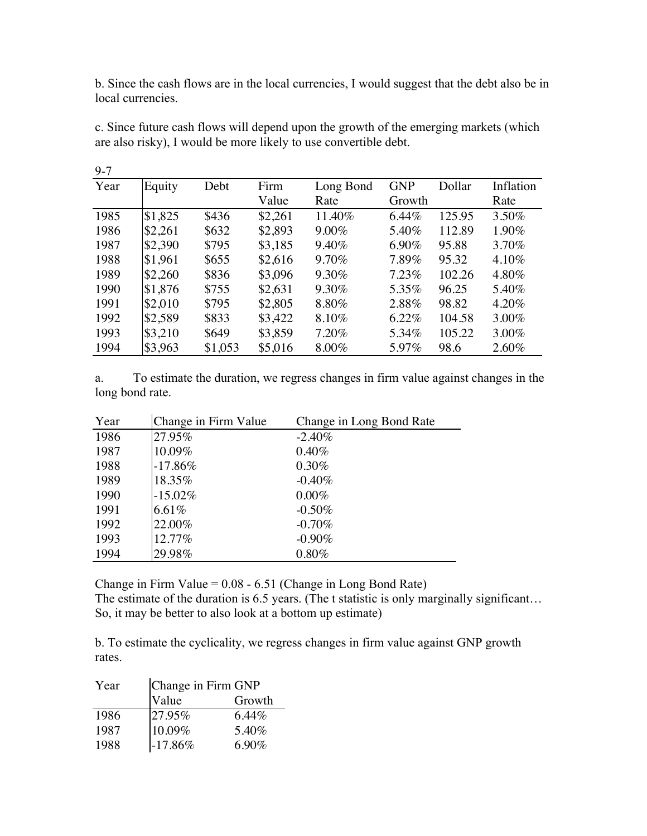b. Since the cash flows are in the local currencies, I would suggest that the debt also be in local currencies.

| Year | Equity  | Debt    | Firm    | Long Bond | <b>GNP</b> | Dollar | Inflation |
|------|---------|---------|---------|-----------|------------|--------|-----------|
|      |         |         | Value   | Rate      | Growth     |        | Rate      |
| 1985 | \$1,825 | \$436   | \$2,261 | 11.40%    | 6.44%      | 125.95 | $3.50\%$  |
| 1986 | \$2,261 | \$632   | \$2,893 | $9.00\%$  | 5.40%      | 112.89 | 1.90%     |
| 1987 | \$2,390 | \$795   | \$3,185 | 9.40%     | 6.90%      | 95.88  | 3.70%     |
| 1988 | \$1,961 | \$655   | \$2,616 | 9.70%     | 7.89%      | 95.32  | 4.10%     |
| 1989 | \$2,260 | \$836   | \$3,096 | 9.30%     | 7.23%      | 102.26 | 4.80%     |
| 1990 | \$1,876 | \$755   | \$2,631 | 9.30%     | 5.35%      | 96.25  | 5.40%     |
| 1991 | \$2,010 | \$795   | \$2,805 | 8.80%     | 2.88%      | 98.82  | 4.20%     |
| 1992 | \$2,589 | \$833   | \$3,422 | 8.10%     | 6.22%      | 104.58 | 3.00%     |
| 1993 | \$3,210 | \$649   | \$3,859 | 7.20%     | 5.34%      | 105.22 | 3.00%     |
| 1994 | \$3,963 | \$1,053 | \$5,016 | 8.00%     | 5.97%      | 98.6   | 2.60%     |

c. Since future cash flows will depend upon the growth of the emerging markets (which are also risky), I would be more likely to use convertible debt.

a. To estimate the duration, we regress changes in firm value against changes in the long bond rate.

| Year | Change in Firm Value | Change in Long Bond Rate |
|------|----------------------|--------------------------|
| 1986 | 27.95%               | $-2.40\%$                |
| 1987 | 10.09%               | $0.40\%$                 |
| 1988 | $-17.86%$            | 0.30%                    |
| 1989 | 18.35%               | $-0.40\%$                |
| 1990 | $-15.02\%$           | $0.00\%$                 |
| 1991 | 6.61%                | $-0.50\%$                |
| 1992 | 22.00%               | $-0.70\%$                |
| 1993 | 12.77%               | $-0.90\%$                |
| 1994 | 29.98%               | $0.80\%$                 |

Change in Firm Value = 0.08 - 6.51 (Change in Long Bond Rate) The estimate of the duration is 6.5 years. (The t statistic is only marginally significant... So, it may be better to also look at a bottom up estimate)

b. To estimate the cyclicality, we regress changes in firm value against GNP growth rates.

| Year | Change in Firm GNP |          |  |  |  |
|------|--------------------|----------|--|--|--|
|      | Value              | Growth   |  |  |  |
| 1986 | 27.95%             | $6.44\%$ |  |  |  |
| 1987 | 10.09%             | 5.40%    |  |  |  |
| 1988 | $-17.86%$          | $6.90\%$ |  |  |  |

9-7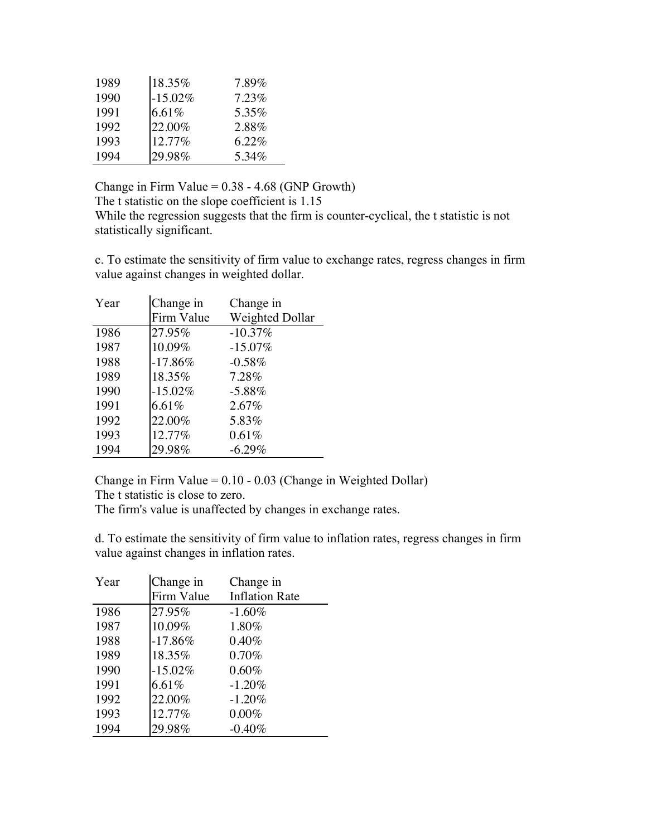| 1989 | 18.35%     | 7.89%    |
|------|------------|----------|
| 1990 | $-15.02\%$ | $7.23\%$ |
| 1991 | 6.61%      | 5.35%    |
| 1992 | $22.00\%$  | 2.88%    |
| 1993 | 12.77%     | 6.22%    |
| 1994 | 29.98%     | 5.34%    |

Change in Firm Value  $= 0.38 - 4.68$  (GNP Growth) The t statistic on the slope coefficient is 1.15 While the regression suggests that the firm is counter-cyclical, the t statistic is not statistically significant.

c. To estimate the sensitivity of firm value to exchange rates, regress changes in firm value against changes in weighted dollar.

| Year | Change in  | Change in       |
|------|------------|-----------------|
|      | Firm Value | Weighted Dollar |
| 1986 | 27.95%     | $-10.37%$       |
| 1987 | 10.09%     | $-15.07\%$      |
| 1988 | $-17.86%$  | $-0.58\%$       |
| 1989 | 18.35%     | 7.28%           |
| 1990 | $-15.02%$  | $-5.88%$        |
| 1991 | 6.61%      | $2.67\%$        |
| 1992 | 22.00%     | 5.83%           |
| 1993 | 12.77%     | 0.61%           |
| 1994 | 29.98%     | $-6.29\%$       |

Change in Firm Value = 0.10 - 0.03 (Change in Weighted Dollar) The t statistic is close to zero.

The firm's value is unaffected by changes in exchange rates.

d. To estimate the sensitivity of firm value to inflation rates, regress changes in firm value against changes in inflation rates.

| Year | Change in  | Change in             |
|------|------------|-----------------------|
|      | Firm Value | <b>Inflation Rate</b> |
| 1986 | 27.95%     | $-1.60\%$             |
| 1987 | 10.09%     | 1.80%                 |
| 1988 | $-17.86%$  | 0.40%                 |
| 1989 | 18.35%     | $0.70\%$              |
| 1990 | $-15.02\%$ | $0.60\%$              |
| 1991 | 6.61%      | $-1.20%$              |
| 1992 | 22.00%     | $-1.20%$              |
| 1993 | 12.77%     | $0.00\%$              |
| 1994 | 29.98%     | $-0.40%$              |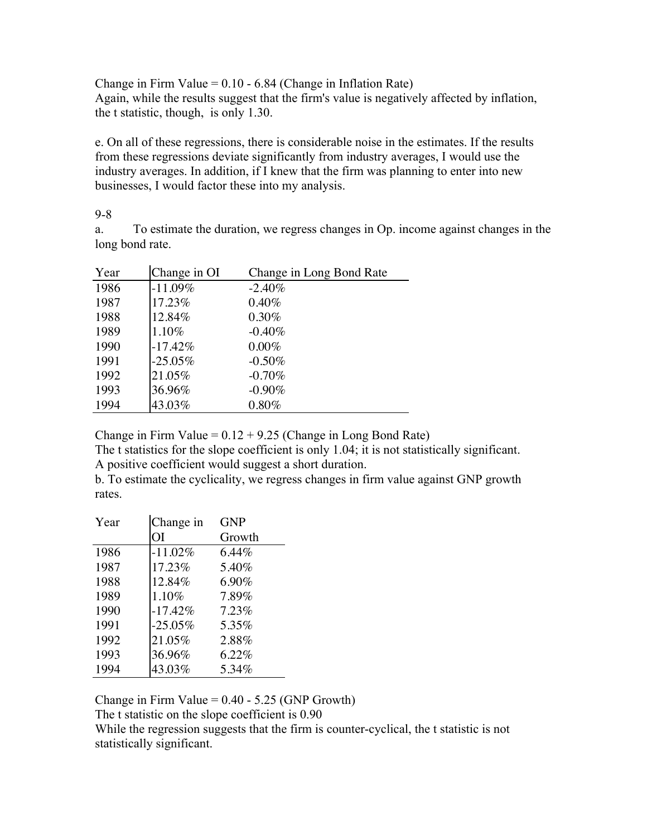Change in Firm Value =  $0.10 - 6.84$  (Change in Inflation Rate) Again, while the results suggest that the firm's value is negatively affected by inflation, the t statistic, though, is only 1.30.

e. On all of these regressions, there is considerable noise in the estimates. If the results from these regressions deviate significantly from industry averages, I would use the industry averages. In addition, if I knew that the firm was planning to enter into new businesses, I would factor these into my analysis.

9-8

a. To estimate the duration, we regress changes in Op. income against changes in the long bond rate.

| Year | Change in OI | Change in Long Bond Rate |
|------|--------------|--------------------------|
| 1986 | $-11.09%$    | $-2.40%$                 |
| 1987 | 17.23%       | $0.40\%$                 |
| 1988 | 12.84%       | $0.30\%$                 |
| 1989 | 1.10%        | $-0.40\%$                |
| 1990 | $-17.42%$    | $0.00\%$                 |
| 1991 | $-25.05\%$   | $-0.50\%$                |
| 1992 | 21.05%       | $-0.70\%$                |
| 1993 | 36.96%       | $-0.90\%$                |
| 1994 | 43.03%       | $0.80\%$                 |

Change in Firm Value =  $0.12 + 9.25$  (Change in Long Bond Rate)

The t statistics for the slope coefficient is only 1.04; it is not statistically significant. A positive coefficient would suggest a short duration.

b. To estimate the cyclicality, we regress changes in firm value against GNP growth rates.

| Year | Change in  | <b>GNP</b> |
|------|------------|------------|
|      | OI         | Growth     |
| 1986 | $-11.02\%$ | $6.44\%$   |
| 1987 | 17.23%     | 5.40%      |
| 1988 | 12.84%     | $6.90\%$   |
| 1989 | 1.10%      | 7.89%      |
| 1990 | $-17.42%$  | 7.23%      |
| 1991 | $-25.05%$  | 5.35%      |
| 1992 | 21.05%     | 2.88%      |
| 1993 | 36.96%     | 6.22%      |
| 1994 | 43.03%     | 5.34%      |

Change in Firm Value =  $0.40 - 5.25$  (GNP Growth)

The t statistic on the slope coefficient is 0.90

While the regression suggests that the firm is counter-cyclical, the t statistic is not statistically significant.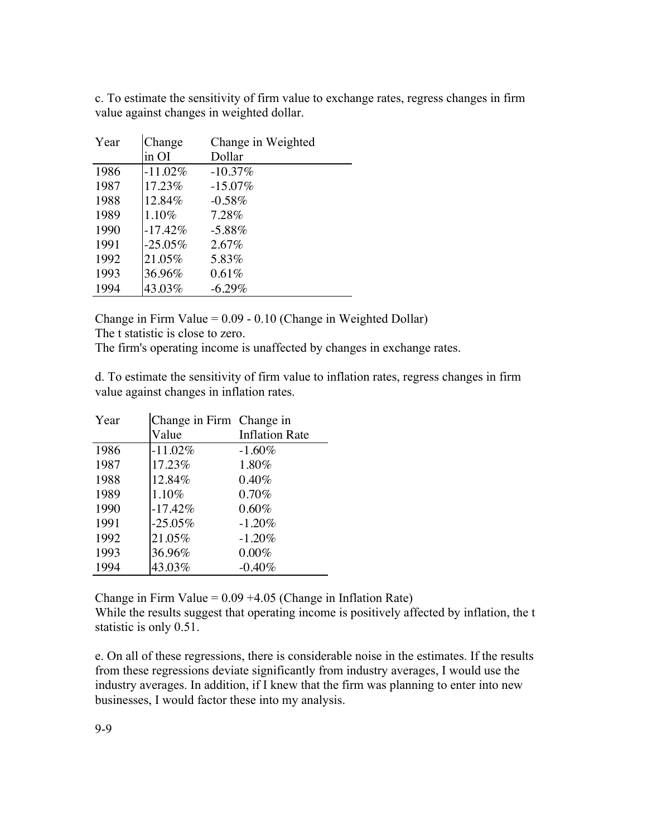c. To estimate the sensitivity of firm value to exchange rates, regress changes in firm value against changes in weighted dollar.

| Year | Change     | Change in Weighted |
|------|------------|--------------------|
|      | in OI      | Dollar             |
| 1986 | $-11.02\%$ | $-10.37\%$         |
| 1987 | 17.23%     | $-15.07\%$         |
| 1988 | 12.84%     | $-0.58\%$          |
| 1989 | 1.10%      | 7.28%              |
| 1990 | $-17.42%$  | $-5.88%$           |
| 1991 | $-25.05\%$ | 2.67%              |
| 1992 | 21.05%     | 5.83%              |
| 1993 | 36.96%     | $0.61\%$           |
| 1994 | 43.03%     | $-6.29\%$          |

Change in Firm Value = 0.09 - 0.10 (Change in Weighted Dollar) The t statistic is close to zero.

The firm's operating income is unaffected by changes in exchange rates.

d. To estimate the sensitivity of firm value to inflation rates, regress changes in firm value against changes in inflation rates.

| Year | Change in Firm Change in |                       |
|------|--------------------------|-----------------------|
|      | Value                    | <b>Inflation Rate</b> |
| 1986 | $-11.02%$                | $-1.60\%$             |
| 1987 | 17.23%                   | 1.80%                 |
| 1988 | 12.84%                   | 0.40%                 |
| 1989 | 1.10%                    | 0.70%                 |
| 1990 | $-17.42%$                | $0.60\%$              |
| 1991 | $-25.05\%$               | $-1.20%$              |
| 1992 | 21.05%                   | $-1.20%$              |
| 1993 | 36.96%                   | $0.00\%$              |
| 1994 | 43.03%                   | $-0.40%$              |

Change in Firm Value =  $0.09 + 4.05$  (Change in Inflation Rate) While the results suggest that operating income is positively affected by inflation, the t statistic is only 0.51.

e. On all of these regressions, there is considerable noise in the estimates. If the results from these regressions deviate significantly from industry averages, I would use the industry averages. In addition, if I knew that the firm was planning to enter into new businesses, I would factor these into my analysis.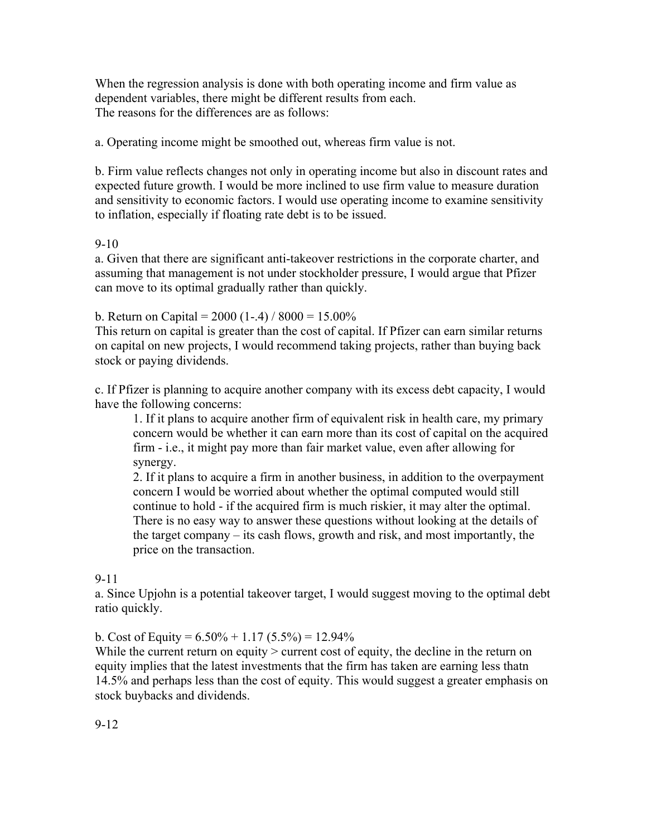When the regression analysis is done with both operating income and firm value as dependent variables, there might be different results from each. The reasons for the differences are as follows:

a. Operating income might be smoothed out, whereas firm value is not.

b. Firm value reflects changes not only in operating income but also in discount rates and expected future growth. I would be more inclined to use firm value to measure duration and sensitivity to economic factors. I would use operating income to examine sensitivity to inflation, especially if floating rate debt is to be issued.

# 9-10

a. Given that there are significant anti-takeover restrictions in the corporate charter, and assuming that management is not under stockholder pressure, I would argue that Pfizer can move to its optimal gradually rather than quickly.

b. Return on Capital =  $2000$  (1-.4) /  $8000 = 15.00\%$ 

This return on capital is greater than the cost of capital. If Pfizer can earn similar returns on capital on new projects, I would recommend taking projects, rather than buying back stock or paying dividends.

c. If Pfizer is planning to acquire another company with its excess debt capacity, I would have the following concerns:

1. If it plans to acquire another firm of equivalent risk in health care, my primary concern would be whether it can earn more than its cost of capital on the acquired firm - i.e., it might pay more than fair market value, even after allowing for synergy.

2. If it plans to acquire a firm in another business, in addition to the overpayment concern I would be worried about whether the optimal computed would still continue to hold - if the acquired firm is much riskier, it may alter the optimal. There is no easy way to answer these questions without looking at the details of the target company – its cash flows, growth and risk, and most importantly, the price on the transaction.

# 9-11

a. Since Upjohn is a potential takeover target, I would suggest moving to the optimal debt ratio quickly.

b. Cost of Equity =  $6.50\% + 1.17$   $(5.5\%) = 12.94\%$ 

While the current return on equity  $>$  current cost of equity, the decline in the return on equity implies that the latest investments that the firm has taken are earning less thatn 14.5% and perhaps less than the cost of equity. This would suggest a greater emphasis on stock buybacks and dividends.